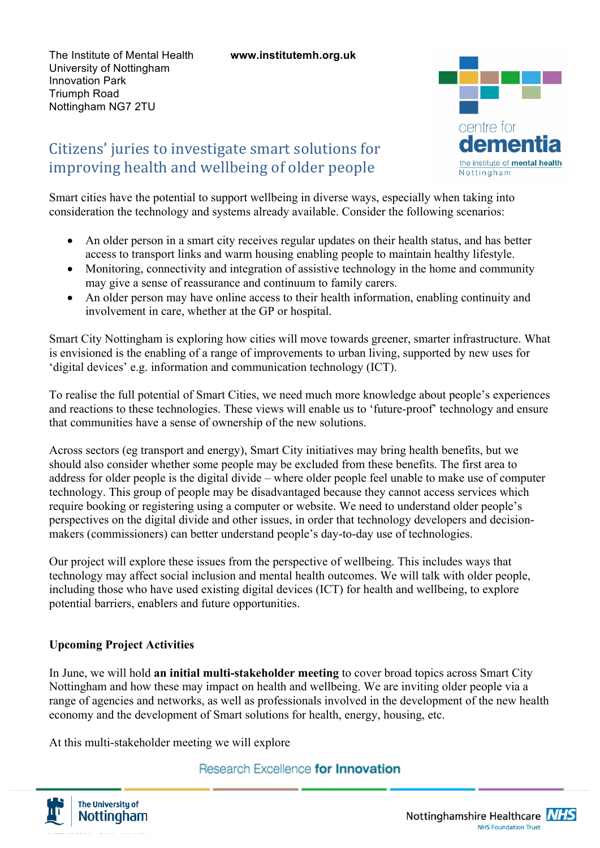The Institute of Mental Health **www.institutemh.org.uk** University of Nottingham Innovation Park Triumph Road Nottingham NG7 2TU



## Citizens' juries to investigate smart solutions for improving health and wellbeing of older people

Smart cities have the potential to support wellbeing in diverse ways, especially when taking into consideration the technology and systems already available. Consider the following scenarios:

- An older person in a smart city receives regular updates on their health status, and has better access to transport links and warm housing enabling people to maintain healthy lifestyle.
- Monitoring, connectivity and integration of assistive technology in the home and community may give a sense of reassurance and continuum to family carers.
- An older person may have online access to their health information, enabling continuity and involvement in care, whether at the GP or hospital.

Smart City Nottingham is exploring how cities will move towards greener, smarter infrastructure. What is envisioned is the enabling of a range of improvements to urban living, supported by new uses for 'digital devices' e.g. information and communication technology (ICT).

To realise the full potential of Smart Cities, we need much more knowledge about people's experiences and reactions to these technologies. These views will enable us to 'future-proof' technology and ensure that communities have a sense of ownership of the new solutions.

Across sectors (eg transport and energy), Smart City initiatives may bring health benefits, but we should also consider whether some people may be excluded from these benefits. The first area to address for older people is the digital divide – where older people feel unable to make use of computer technology. This group of people may be disadvantaged because they cannot access services which require booking or registering using a computer or website. We need to understand older people's perspectives on the digital divide and other issues, in order that technology developers and decisionmakers (commissioners) can better understand people's day-to-day use of technologies.

Our project will explore these issues from the perspective of wellbeing. This includes ways that technology may affect social inclusion and mental health outcomes. We will talk with older people, including those who have used existing digital devices (ICT) for health and wellbeing, to explore potential barriers, enablers and future opportunities.

## **Upcoming Project Activities**

In June, we will hold **an initial multi-stakeholder meeting** to cover broad topics across Smart City Nottingham and how these may impact on health and wellbeing. We are inviting older people via a range of agencies and networks, as well as professionals involved in the development of the new health economy and the development of Smart solutions for health, energy, housing, etc.

At this multi-stakeholder meeting we will explore

Research Excellence for Innovation